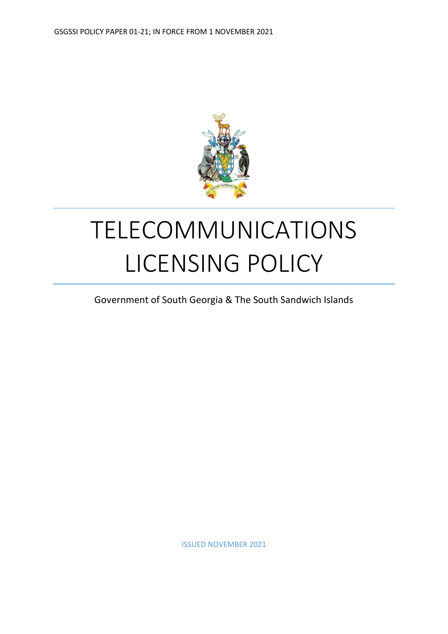

# TELECOMMUNICATIONS LICENSING POLICY

Government of South Georgia & The South Sandwich Islands

ISSUED NOVEMBER 2021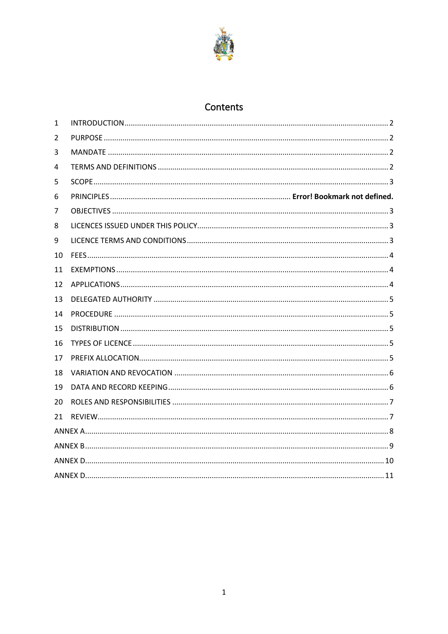

# Contents

| $\mathbf{1}$ |  |  |  |  |  |
|--------------|--|--|--|--|--|
| 2            |  |  |  |  |  |
| 3            |  |  |  |  |  |
| 4            |  |  |  |  |  |
| 5            |  |  |  |  |  |
| 6            |  |  |  |  |  |
| 7            |  |  |  |  |  |
| 8            |  |  |  |  |  |
| 9            |  |  |  |  |  |
| 10           |  |  |  |  |  |
| 11           |  |  |  |  |  |
| 12           |  |  |  |  |  |
| 13           |  |  |  |  |  |
| 14           |  |  |  |  |  |
| 15           |  |  |  |  |  |
| 16           |  |  |  |  |  |
| 17           |  |  |  |  |  |
| 18           |  |  |  |  |  |
| 19           |  |  |  |  |  |
| 20           |  |  |  |  |  |
| 21           |  |  |  |  |  |
|              |  |  |  |  |  |
|              |  |  |  |  |  |
|              |  |  |  |  |  |
|              |  |  |  |  |  |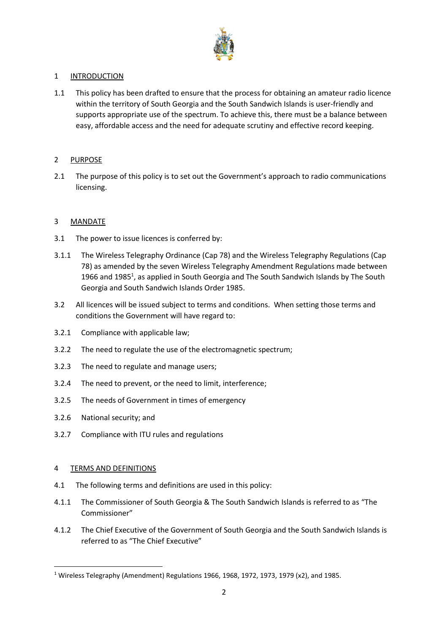

# <span id="page-2-0"></span>1 INTRODUCTION

1.1 This policy has been drafted to ensure that the process for obtaining an amateur radio licence within the territory of South Georgia and the South Sandwich Islands is user-friendly and supports appropriate use of the spectrum. To achieve this, there must be a balance between easy, affordable access and the need for adequate scrutiny and effective record keeping.

# <span id="page-2-1"></span>2 PURPOSE

2.1 The purpose of this policy is to set out the Government's approach to radio communications licensing.

# <span id="page-2-2"></span>3 MANDATE

- 3.1 The power to issue licences is conferred by:
- 3.1.1 The Wireless Telegraphy Ordinance (Cap 78) and the Wireless Telegraphy Regulations (Cap 78) as amended by the seven Wireless Telegraphy Amendment Regulations made between 1966 and 1985<sup>1</sup>, as applied in South Georgia and The South Sandwich Islands by The South Georgia and South Sandwich Islands Order 1985.
- 3.2 All licences will be issued subject to terms and conditions. When setting those terms and conditions the Government will have regard to:
- 3.2.1 Compliance with applicable law;
- 3.2.2 The need to regulate the use of the electromagnetic spectrum;
- 3.2.3 The need to regulate and manage users;
- 3.2.4 The need to prevent, or the need to limit, interference;
- 3.2.5 The needs of Government in times of emergency
- 3.2.6 National security; and
- 3.2.7 Compliance with ITU rules and regulations

# <span id="page-2-3"></span>4 TERMS AND DEFINITIONS

- 4.1 The following terms and definitions are used in this policy:
- 4.1.1 The Commissioner of South Georgia & The South Sandwich Islands is referred to as "The Commissioner"
- 4.1.2 The Chief Executive of the Government of South Georgia and the South Sandwich Islands is referred to as "The Chief Executive"

<sup>&</sup>lt;sup>1</sup> Wireless Telegraphy (Amendment) Regulations 1966, 1968, 1972, 1973, 1979 (x2), and 1985.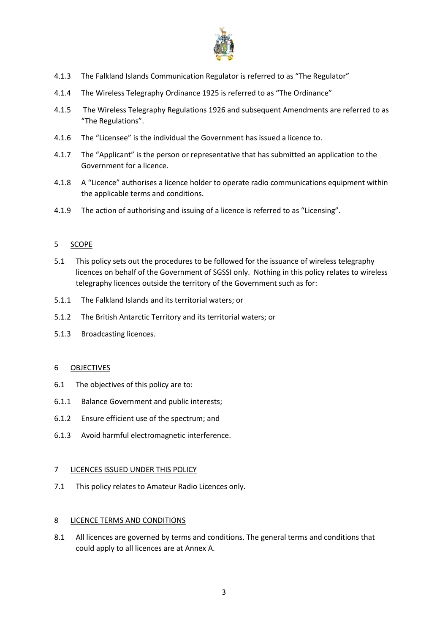

- 4.1.3 The Falkland Islands Communication Regulator is referred to as "The Regulator"
- 4.1.4 The Wireless Telegraphy Ordinance 1925 is referred to as "The Ordinance"
- 4.1.5 The Wireless Telegraphy Regulations 1926 and subsequent Amendments are referred to as "The Regulations".
- 4.1.6 The "Licensee" is the individual the Government has issued a licence to.
- 4.1.7 The "Applicant" is the person or representative that has submitted an application to the Government for a licence.
- 4.1.8 A "Licence" authorises a licence holder to operate radio communications equipment within the applicable terms and conditions.
- 4.1.9 The action of authorising and issuing of a licence is referred to as "Licensing".

# <span id="page-3-0"></span>5 SCOPE

- 5.1 This policy sets out the procedures to be followed for the issuance of wireless telegraphy licences on behalf of the Government of SGSSI only. Nothing in this policy relates to wireless telegraphy licences outside the territory of the Government such as for:
- 5.1.1 The Falkland Islands and its territorial waters; or
- 5.1.2 The British Antarctic Territory and its territorial waters; or
- 5.1.3 Broadcasting licences.

# <span id="page-3-1"></span>6 OBJECTIVES

- 6.1 The objectives of this policy are to:
- 6.1.1 Balance Government and public interests;
- 6.1.2 Ensure efficient use of the spectrum; and
- 6.1.3 Avoid harmful electromagnetic interference.

# <span id="page-3-2"></span>7 LICENCES ISSUED UNDER THIS POLICY

7.1 This policy relates to Amateur Radio Licences only.

# <span id="page-3-3"></span>8 LICENCE TERMS AND CONDITIONS

8.1 All licences are governed by terms and conditions. The general terms and conditions that could apply to all licences are at Annex A.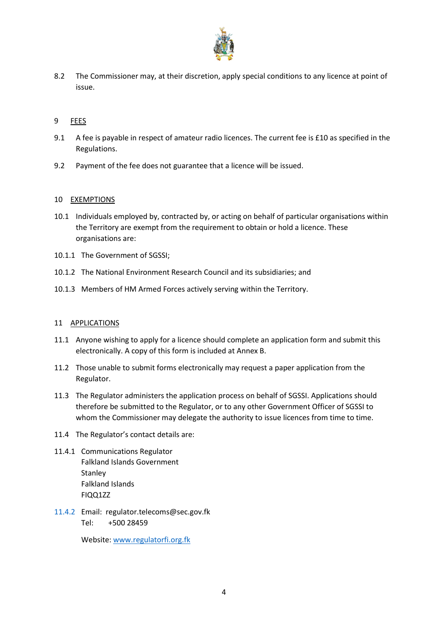

8.2 The Commissioner may, at their discretion, apply special conditions to any licence at point of issue.

# <span id="page-4-0"></span>9 FEES

- 9.1 A fee is payable in respect of amateur radio licences. The current fee is £10 as specified in the Regulations.
- 9.2 Payment of the fee does not guarantee that a licence will be issued.

# <span id="page-4-1"></span>10 EXEMPTIONS

- 10.1 Individuals employed by, contracted by, or acting on behalf of particular organisations within the Territory are exempt from the requirement to obtain or hold a licence. These organisations are:
- 10.1.1 The Government of SGSSI;
- 10.1.2 The National Environment Research Council and its subsidiaries; and
- 10.1.3 Members of HM Armed Forces actively serving within the Territory.

# <span id="page-4-2"></span>11 APPLICATIONS

- 11.1 Anyone wishing to apply for a licence should complete an application form and submit this electronically. A copy of this form is included at Annex B.
- 11.2 Those unable to submit forms electronically may request a paper application from the Regulator.
- 11.3 The Regulator administers the application process on behalf of SGSSI. Applications should therefore be submitted to the Regulator, or to any other Government Officer of SGSSI to whom the Commissioner may delegate the authority to issue licences from time to time.
- 11.4 The Regulator's contact details are:
- 11.4.1 Communications Regulator Falkland Islands Government **Stanley** Falkland Islands FIQQ1ZZ
- 11.4.2 Email: regulator.telecoms@sec.gov.fk Tel: +500 28459

Website[: www.regulatorfi.org.fk](http://www.regulatorfi.org.fk/)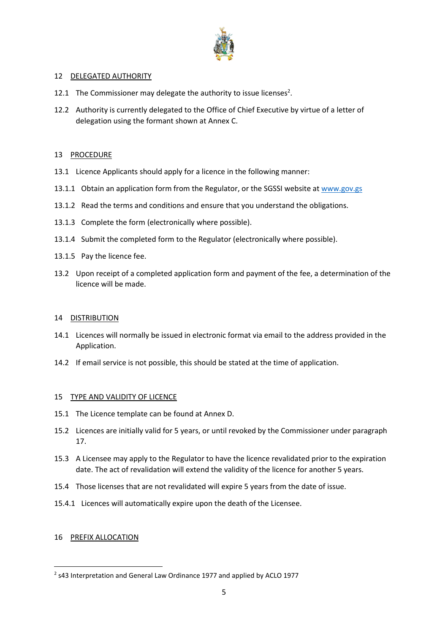

# <span id="page-5-0"></span>12 DELEGATED AUTHORITY

- 12.1 The Commissioner may delegate the authority to issue licenses<sup>2</sup>.
- 12.2 Authority is currently delegated to the Office of Chief Executive by virtue of a letter of delegation using the formant shown at Annex C.

# <span id="page-5-1"></span>13 PROCEDURE

- 13.1 Licence Applicants should apply for a licence in the following manner:
- 13.1.1 Obtain an application form from the Regulator, or the SGSSI website at [www.gov.gs](http://www.gov.gs/)
- 13.1.2 Read the terms and conditions and ensure that you understand the obligations.
- 13.1.3 Complete the form (electronically where possible).
- 13.1.4 Submit the completed form to the Regulator (electronically where possible).
- 13.1.5 Pay the licence fee.
- 13.2 Upon receipt of a completed application form and payment of the fee, a determination of the licence will be made.

# <span id="page-5-2"></span>14 DISTRIBUTION

- 14.1 Licences will normally be issued in electronic format via email to the address provided in the Application.
- 14.2 If email service is not possible, this should be stated at the time of application.

# <span id="page-5-3"></span>15 TYPE AND VALIDITY OF LICENCE

- 15.1 The Licence template can be found at Annex D.
- 15.2 Licences are initially valid for 5 years, or until revoked by the Commissioner under paragraph 17.
- 15.3 A Licensee may apply to the Regulator to have the licence revalidated prior to the expiration date. The act of revalidation will extend the validity of the licence for another 5 years.
- 15.4 Those licenses that are not revalidated will expire 5 years from the date of issue.
- 15.4.1 Licences will automatically expire upon the death of the Licensee.

# <span id="page-5-4"></span>16 PREFIX ALLOCATION

 $<sup>2</sup>$  s43 Interpretation and General Law Ordinance 1977 and applied by ACLO 1977</sup>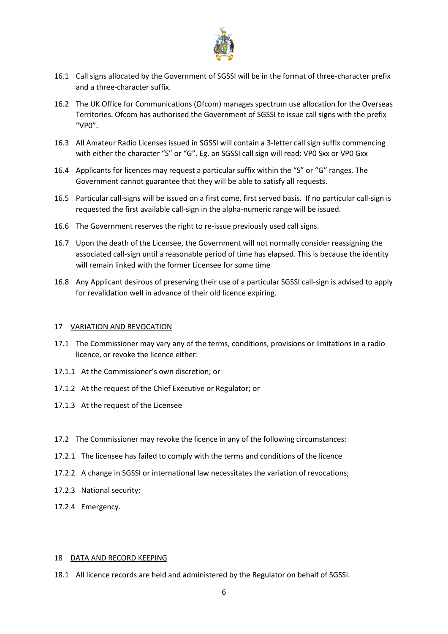

- 16.1 Call signs allocated by the Government of SGSSI will be in the format of three-character prefix and a three-character suffix.
- 16.2 The UK Office for Communications (Ofcom) manages spectrum use allocation for the Overseas Territories. Ofcom has authorised the Government of SGSSI to issue call signs with the prefix  $^{\prime\prime}$ VP $0^{\prime\prime}$
- 16.3 All Amateur Radio Licenses issued in SGSSI will contain a 3-letter call sign suffix commencing with either the character "S" or "G". Eg. an SGSSI call sign will read: VP0 Sxx or VP0 Gxx
- 16.4 Applicants for licences may request a particular suffix within the "S" or "G" ranges. The Government cannot guarantee that they will be able to satisfy all requests.
- 16.5 Particular call-signs will be issued on a first come, first served basis. If no particular call-sign is requested the first available call-sign in the alpha-numeric range will be issued.
- 16.6 The Government reserves the right to re-issue previously used call signs.
- 16.7 Upon the death of the Licensee, the Government will not normally consider reassigning the associated call-sign until a reasonable period of time has elapsed. This is because the identity will remain linked with the former Licensee for some time
- 16.8 Any Applicant desirous of preserving their use of a particular SGSSI call-sign is advised to apply for revalidation well in advance of their old licence expiring.

#### <span id="page-6-0"></span>17 VARIATION AND REVOCATION

- 17.1 The Commissioner may vary any of the terms, conditions, provisions or limitations in a radio licence, or revoke the licence either:
- 17.1.1 At the Commissioner's own discretion; or
- 17.1.2 At the request of the Chief Executive or Regulator; or
- 17.1.3 At the request of the Licensee
- 17.2 The Commissioner may revoke the licence in any of the following circumstances:
- 17.2.1 The licensee has failed to comply with the terms and conditions of the licence
- 17.2.2 A change in SGSSI or international law necessitates the variation of revocations;
- 17.2.3 National security;
- 17.2.4 Emergency.

#### <span id="page-6-1"></span>18 DATA AND RECORD KEEPING

18.1 All licence records are held and administered by the Regulator on behalf of SGSSI.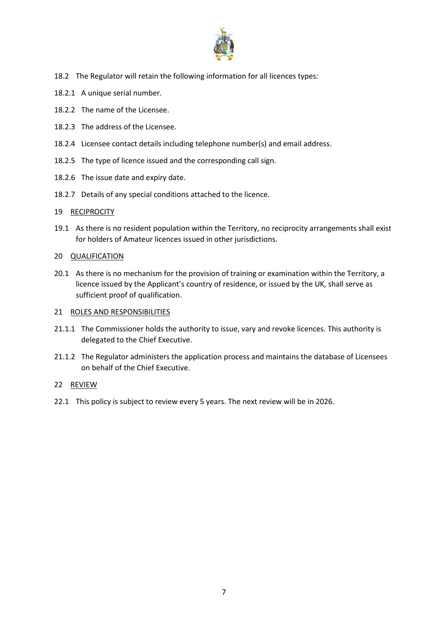

- 18.2 The Regulator will retain the following information for all licences types:
- 18.2.1 A unique serial number.
- 18.2.2 The name of the Licensee.
- 18.2.3 The address of the Licensee.
- 18.2.4 Licensee contact details including telephone number(s) and email address.
- 18.2.5 The type of licence issued and the corresponding call sign.
- 18.2.6 The issue date and expiry date.
- 18.2.7 Details of any special conditions attached to the licence.

# 19 RECIPROCITY

19.1 As there is no resident population within the Territory, no reciprocity arrangements shall exist for holders of Amateur licences issued in other jurisdictions.

# 20 QUALIFICATION

20.1 As there is no mechanism for the provision of training or examination within the Territory, a licence issued by the Applicant's country of residence, or issued by the UK, shall serve as sufficient proof of qualification.

# <span id="page-7-0"></span>21 ROLES AND RESPONSIBILITIES

- 21.1.1 The Commissioner holds the authority to issue, vary and revoke licences. This authority is delegated to the Chief Executive.
- 21.1.2 The Regulator administers the application process and maintains the database of Licensees on behalf of the Chief Executive.

# <span id="page-7-1"></span>22 REVIEW

22.1 This policy is subject to review every 5 years. The next review will be in 2026.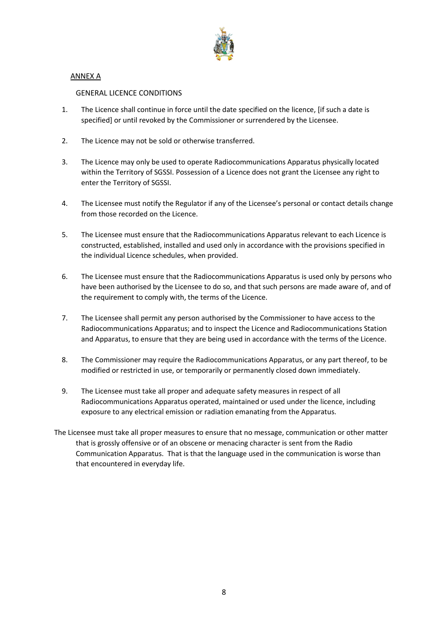

# <span id="page-8-0"></span>ANNEX A

# GENERAL LICENCE CONDITIONS

- 1. The Licence shall continue in force until the date specified on the licence, [if such a date is specified] or until revoked by the Commissioner or surrendered by the Licensee.
- 2. The Licence may not be sold or otherwise transferred.
- 3. The Licence may only be used to operate Radiocommunications Apparatus physically located within the Territory of SGSSI. Possession of a Licence does not grant the Licensee any right to enter the Territory of SGSSI.
- 4. The Licensee must notify the Regulator if any of the Licensee's personal or contact details change from those recorded on the Licence.
- 5. The Licensee must ensure that the Radiocommunications Apparatus relevant to each Licence is constructed, established, installed and used only in accordance with the provisions specified in the individual Licence schedules, when provided.
- 6. The Licensee must ensure that the Radiocommunications Apparatus is used only by persons who have been authorised by the Licensee to do so, and that such persons are made aware of, and of the requirement to comply with, the terms of the Licence.
- 7. The Licensee shall permit any person authorised by the Commissioner to have access to the Radiocommunications Apparatus; and to inspect the Licence and Radiocommunications Station and Apparatus, to ensure that they are being used in accordance with the terms of the Licence.
- 8. The Commissioner may require the Radiocommunications Apparatus, or any part thereof, to be modified or restricted in use, or temporarily or permanently closed down immediately.
- 9. The Licensee must take all proper and adequate safety measures in respect of all Radiocommunications Apparatus operated, maintained or used under the licence, including exposure to any electrical emission or radiation emanating from the Apparatus.
- The Licensee must take all proper measures to ensure that no message, communication or other matter that is grossly offensive or of an obscene or menacing character is sent from the Radio Communication Apparatus. That is that the language used in the communication is worse than that encountered in everyday life.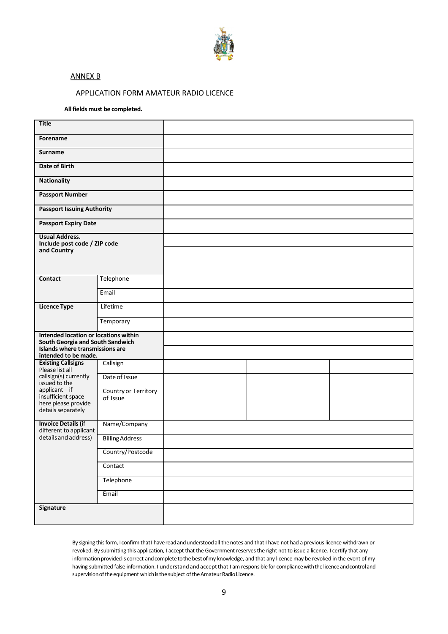

#### <span id="page-9-0"></span>ANNEX B

#### APPLICATION FORM AMATEUR RADIO LICENCE

#### **Allfields must be completed.**

| Title                                                                     |                                  |  |  |
|---------------------------------------------------------------------------|----------------------------------|--|--|
| Forename                                                                  |                                  |  |  |
| <b>Surname</b>                                                            |                                  |  |  |
| <b>Date of Birth</b>                                                      |                                  |  |  |
| <b>Nationality</b>                                                        |                                  |  |  |
| <b>Passport Number</b>                                                    |                                  |  |  |
| <b>Passport Issuing Authority</b>                                         |                                  |  |  |
| <b>Passport Expiry Date</b>                                               |                                  |  |  |
| <b>Usual Address.</b><br>Include post code / ZIP code                     |                                  |  |  |
| and Country                                                               |                                  |  |  |
|                                                                           |                                  |  |  |
| Contact                                                                   | Telephone                        |  |  |
|                                                                           | Email                            |  |  |
| <b>Licence Type</b>                                                       | Lifetime                         |  |  |
|                                                                           | Temporary                        |  |  |
| Intended location or locations within<br>South Georgia and South Sandwich |                                  |  |  |
| Islands where transmissions are<br>intended to be made.                   |                                  |  |  |
| <b>Existing Callsigns</b><br>Please list all                              | Callsign                         |  |  |
| callsign(s) currently<br>issued to the                                    | Date of Issue                    |  |  |
| $applicant - if$<br>insufficient space                                    | Country or Territory<br>of Issue |  |  |
| here please provide<br>details separately                                 |                                  |  |  |
| <b>Invoice Details (if</b><br>different to applicant                      | Name/Company                     |  |  |
| details and address)                                                      | <b>Billing Address</b>           |  |  |
|                                                                           | Country/Postcode                 |  |  |
|                                                                           | Contact                          |  |  |
|                                                                           | Telephone                        |  |  |
|                                                                           | Email                            |  |  |
| Signature                                                                 |                                  |  |  |
|                                                                           |                                  |  |  |

By signing thisform, Iconfirm thatI havereadandunderstoodall thenotes and that I have not had a previous licence withdrawn or revoked. By submitting this application, I accept that the Government reserves the right not to issue a licence. I certify that any information provided is correct and complete to the best of my knowledge, and that any licence may be revoked in the event of my having submitted false information. I understand and accept that I am responsible for compliance with the licence and controland supervision of the equipment which is the subject of the Amateur Radio Licence.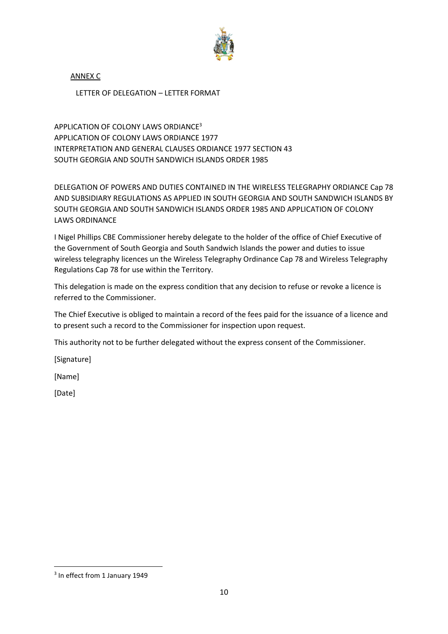

<span id="page-10-0"></span>ANNEX C

LETTER OF DELEGATION – LETTER FORMAT

APPLICATION OF COLONY LAWS ORDIANCE<sup>3</sup> APPLICATION OF COLONY LAWS ORDIANCE 1977 INTERPRETATION AND GENERAL CLAUSES ORDIANCE 1977 SECTION 43 SOUTH GEORGIA AND SOUTH SANDWICH ISLANDS ORDER 1985

DELEGATION OF POWERS AND DUTIES CONTAINED IN THE WIRELESS TELEGRAPHY ORDIANCE Cap 78 AND SUBSIDIARY REGULATIONS AS APPLIED IN SOUTH GEORGIA AND SOUTH SANDWICH ISLANDS BY SOUTH GEORGIA AND SOUTH SANDWICH ISLANDS ORDER 1985 AND APPLICATION OF COLONY LAWS ORDINANCE

I Nigel Phillips CBE Commissioner hereby delegate to the holder of the office of Chief Executive of the Government of South Georgia and South Sandwich Islands the power and duties to issue wireless telegraphy licences un the Wireless Telegraphy Ordinance Cap 78 and Wireless Telegraphy Regulations Cap 78 for use within the Territory.

This delegation is made on the express condition that any decision to refuse or revoke a licence is referred to the Commissioner.

The Chief Executive is obliged to maintain a record of the fees paid for the issuance of a licence and to present such a record to the Commissioner for inspection upon request.

This authority not to be further delegated without the express consent of the Commissioner.

[Signature]

[Name]

[Date]

<sup>&</sup>lt;sup>3</sup> In effect from 1 January 1949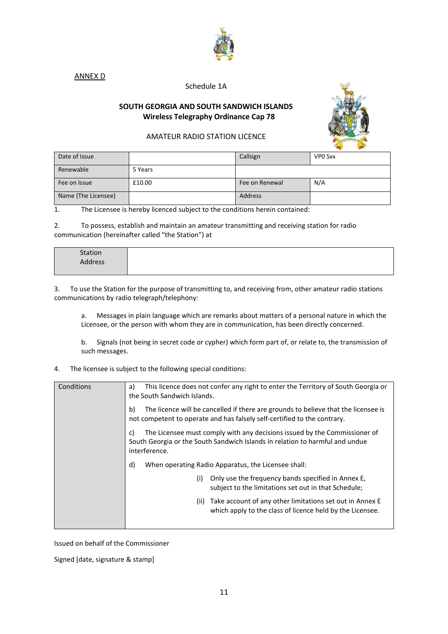

<span id="page-11-0"></span>ANNEX D

# Schedule 1A

# **SOUTH GEORGIA AND SOUTH SANDWICH ISLANDS Wireless Telegraphy Ordinance Cap 78**



# AMATEUR RADIO STATION LICENCE

|                     |         |                | ___     |
|---------------------|---------|----------------|---------|
| Date of Issue       |         | Callsign       | VPO Sxx |
| Renewable           | 5 Years |                |         |
| Fee on Issue        | £10.00  | Fee on Renewal | N/A     |
| Name (The Licensee) |         | Address        |         |

1. The Licensee is hereby licenced subject to the conditions herein contained:

2. To possess, establish and maintain an amateur transmitting and receiving station for radio communication (hereinafter called "the Station") at

| Station |  |  |
|---------|--|--|
| Address |  |  |
|         |  |  |
|         |  |  |

3. To use the Station for the purpose of transmitting to, and receiving from, other amateur radio stations communications by radio telegraph/telephony:

a. Messages in plain language which are remarks about matters of a personal nature in which the Licensee, or the person with whom they are in communication, has been directly concerned.

b. Signals (not being in secret code or cypher) which form part of, or relate to, the transmission of such messages.

4. The licensee is subject to the following special conditions:

| Conditions | This licence does not confer any right to enter the Territory of South Georgia or<br>a)<br>the South Sandwich Islands.                                                           |
|------------|----------------------------------------------------------------------------------------------------------------------------------------------------------------------------------|
|            | The licence will be cancelled if there are grounds to believe that the licensee is<br>b)<br>not competent to operate and has falsely self-certified to the contrary.             |
|            | The Licensee must comply with any decisions issued by the Commissioner of<br>C)<br>South Georgia or the South Sandwich Islands in relation to harmful and undue<br>interference. |
|            | d)<br>When operating Radio Apparatus, the Licensee shall:                                                                                                                        |
|            | Only use the frequency bands specified in Annex E,<br>(i)<br>subject to the limitations set out in that Schedule;                                                                |
|            | Take account of any other limitations set out in Annex E<br>(ii)<br>which apply to the class of licence held by the Licensee.                                                    |
|            |                                                                                                                                                                                  |

Issued on behalf of the Commissioner

Signed [date, signature & stamp]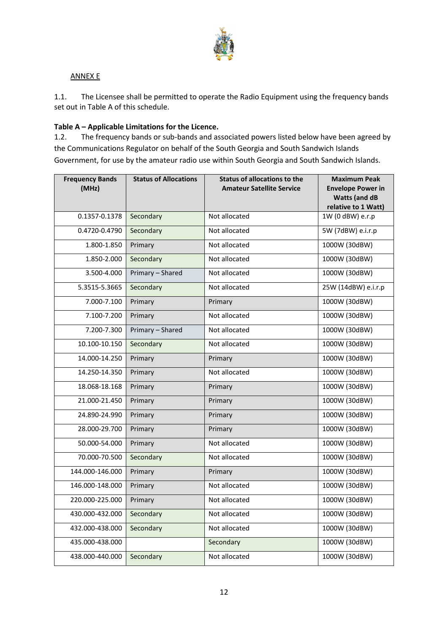

# ANNEX E

1.1. The Licensee shall be permitted to operate the Radio Equipment using the frequency bands set out in Table A of this schedule.

# **Table A – Applicable Limitations for the Licence.**

1.2. The frequency bands or sub-bands and associated powers listed below have been agreed by the Communications Regulator on behalf of the South Georgia and South Sandwich Islands Government, for use by the amateur radio use within South Georgia and South Sandwich Islands.

| <b>Frequency Bands</b><br>(MHz) | <b>Status of Allocations</b> | <b>Status of allocations to the</b><br><b>Amateur Satellite Service</b> | <b>Maximum Peak</b><br><b>Envelope Power in</b><br><b>Watts (and dB</b><br>relative to 1 Watt) |
|---------------------------------|------------------------------|-------------------------------------------------------------------------|------------------------------------------------------------------------------------------------|
| 0.1357-0.1378                   | Secondary                    | Not allocated                                                           | 1W (0 dBW) e.r.p                                                                               |
| 0.4720-0.4790                   | Secondary                    | Not allocated                                                           | 5W (7dBW) e.i.r.p                                                                              |
| 1.800-1.850                     | Primary                      | Not allocated                                                           | 1000W (30dBW)                                                                                  |
| 1.850-2.000                     | Secondary                    | Not allocated                                                           | 1000W (30dBW)                                                                                  |
| 3.500-4.000                     | Primary - Shared             | Not allocated                                                           | 1000W (30dBW)                                                                                  |
| 5.3515-5.3665                   | Secondary                    | Not allocated                                                           | 25W (14dBW) e.i.r.p                                                                            |
| 7.000-7.100                     | Primary                      | Primary                                                                 | 1000W (30dBW)                                                                                  |
| 7.100-7.200                     | Primary                      | Not allocated                                                           | 1000W (30dBW)                                                                                  |
| 7.200-7.300                     | Primary - Shared             | Not allocated                                                           | 1000W (30dBW)                                                                                  |
| 10.100-10.150                   | Secondary                    | Not allocated                                                           | 1000W (30dBW)                                                                                  |
| 14.000-14.250                   | Primary                      | Primary                                                                 | 1000W (30dBW)                                                                                  |
| 14.250-14.350                   | Primary                      | Not allocated                                                           | 1000W (30dBW)                                                                                  |
| 18.068-18.168                   | Primary                      | Primary                                                                 | 1000W (30dBW)                                                                                  |
| 21.000-21.450                   | Primary                      | Primary                                                                 | 1000W (30dBW)                                                                                  |
| 24.890-24.990                   | Primary                      | Primary                                                                 | 1000W (30dBW)                                                                                  |
| 28.000-29.700                   | Primary                      | Primary                                                                 | 1000W (30dBW)                                                                                  |
| 50.000-54.000                   | Primary                      | Not allocated                                                           | 1000W (30dBW)                                                                                  |
| 70.000-70.500                   | Secondary                    | Not allocated                                                           | 1000W (30dBW)                                                                                  |
| 144.000-146.000                 | Primary                      | Primary                                                                 | 1000W (30dBW)                                                                                  |
| 146.000-148.000                 | Primary                      | Not allocated                                                           | 1000W (30dBW)                                                                                  |
| 220.000-225.000                 | Primary                      | Not allocated                                                           | 1000W (30dBW)                                                                                  |
| 430.000-432.000                 | Secondary                    | Not allocated                                                           | 1000W (30dBW)                                                                                  |
| 432.000-438.000                 | Secondary                    | Not allocated                                                           | 1000W (30dBW)                                                                                  |
| 435.000-438.000                 |                              | Secondary                                                               | 1000W (30dBW)                                                                                  |
| 438.000-440.000                 | Secondary                    | Not allocated                                                           | 1000W (30dBW)                                                                                  |